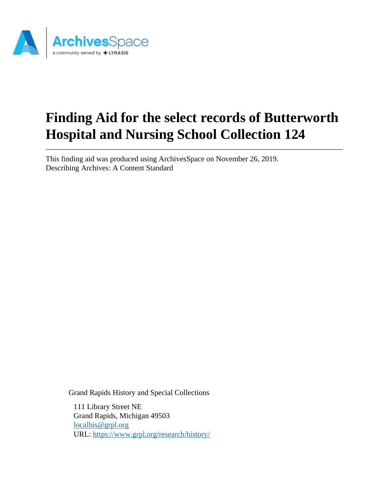

# **Finding Aid for the select records of Butterworth Hospital and Nursing School Collection 124**

This finding aid was produced using ArchivesSpace on November 26, 2019. Describing Archives: A Content Standard

Grand Rapids History and Special Collections

111 Library Street NE Grand Rapids, Michigan 49503 [localhis@grpl.org](mailto:localhis@grpl.org) URL:<https://www.grpl.org/research/history/>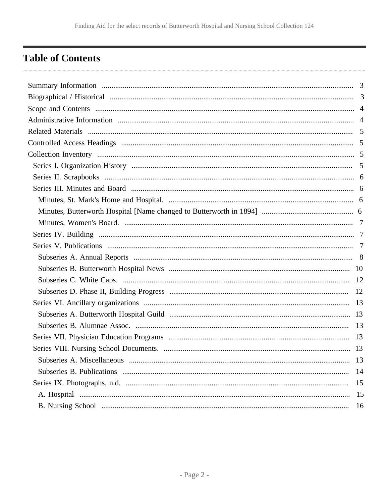# <span id="page-1-0"></span>**Table of Contents**

| Subseries A. Miscellaneous | 13 |
|----------------------------|----|
|                            | 14 |
|                            | 15 |
|                            | 15 |
|                            | 16 |
|                            |    |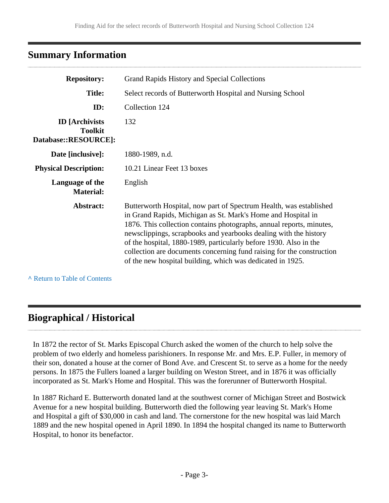# <span id="page-2-0"></span>**Summary Information**

| <b>Repository:</b>                                              | Grand Rapids History and Special Collections                                                                                                                                                                                                                                                                                                                                                                                                                                               |  |
|-----------------------------------------------------------------|--------------------------------------------------------------------------------------------------------------------------------------------------------------------------------------------------------------------------------------------------------------------------------------------------------------------------------------------------------------------------------------------------------------------------------------------------------------------------------------------|--|
| <b>Title:</b>                                                   | Select records of Butterworth Hospital and Nursing School                                                                                                                                                                                                                                                                                                                                                                                                                                  |  |
| ID:                                                             | Collection 124                                                                                                                                                                                                                                                                                                                                                                                                                                                                             |  |
| <b>ID</b> [Archivists<br><b>Toolkit</b><br>Database::RESOURCE]: | 132                                                                                                                                                                                                                                                                                                                                                                                                                                                                                        |  |
| Date [inclusive]:                                               | 1880-1989, n.d.                                                                                                                                                                                                                                                                                                                                                                                                                                                                            |  |
| <b>Physical Description:</b>                                    | 10.21 Linear Feet 13 boxes                                                                                                                                                                                                                                                                                                                                                                                                                                                                 |  |
| Language of the<br><b>Material:</b>                             | English                                                                                                                                                                                                                                                                                                                                                                                                                                                                                    |  |
| Abstract:                                                       | Butterworth Hospital, now part of Spectrum Health, was established<br>in Grand Rapids, Michigan as St. Mark's Home and Hospital in<br>1876. This collection contains photographs, annual reports, minutes,<br>newsclippings, scrapbooks and yearbooks dealing with the history<br>of the hospital, 1880-1989, particularly before 1930. Also in the<br>collection are documents concerning fund raising for the construction<br>of the new hospital building, which was dedicated in 1925. |  |

**^** [Return to Table of Contents](#page-1-0)

# <span id="page-2-1"></span>**Biographical / Historical**

In 1872 the rector of St. Marks Episcopal Church asked the women of the church to help solve the problem of two elderly and homeless parishioners. In response Mr. and Mrs. E.P. Fuller, in memory of their son, donated a house at the corner of Bond Ave. and Crescent St. to serve as a home for the needy persons. In 1875 the Fullers loaned a larger building on Weston Street, and in 1876 it was officially incorporated as St. Mark's Home and Hospital. This was the forerunner of Butterworth Hospital.

In 1887 Richard E. Butterworth donated land at the southwest corner of Michigan Street and Bostwick Avenue for a new hospital building. Butterworth died the following year leaving St. Mark's Home and Hospital a gift of \$30,000 in cash and land. The cornerstone for the new hospital was laid March 1889 and the new hospital opened in April 1890. In 1894 the hospital changed its name to Butterworth Hospital, to honor its benefactor.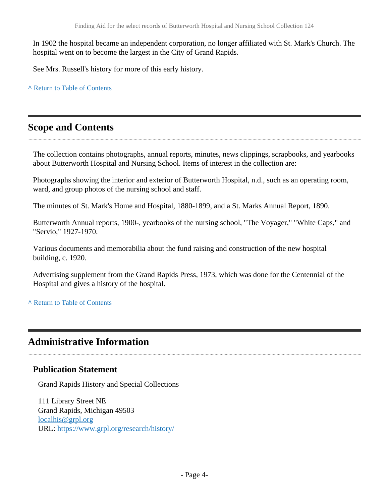In 1902 the hospital became an independent corporation, no longer affiliated with St. Mark's Church. The hospital went on to become the largest in the City of Grand Rapids.

See Mrs. Russell's history for more of this early history.

**^** [Return to Table of Contents](#page-1-0)

# <span id="page-3-0"></span>**Scope and Contents**

The collection contains photographs, annual reports, minutes, news clippings, scrapbooks, and yearbooks about Butterworth Hospital and Nursing School. Items of interest in the collection are:

Photographs showing the interior and exterior of Butterworth Hospital, n.d., such as an operating room, ward, and group photos of the nursing school and staff.

The minutes of St. Mark's Home and Hospital, 1880-1899, and a St. Marks Annual Report, 1890.

Butterworth Annual reports, 1900-, yearbooks of the nursing school, "The Voyager," "White Caps," and "Servio," 1927-1970.

Various documents and memorabilia about the fund raising and construction of the new hospital building, c. 1920.

Advertising supplement from the Grand Rapids Press, 1973, which was done for the Centennial of the Hospital and gives a history of the hospital.

**^** [Return to Table of Contents](#page-1-0)

# <span id="page-3-1"></span>**Administrative Information**

# **Publication Statement**

Grand Rapids History and Special Collections

111 Library Street NE Grand Rapids, Michigan 49503 [localhis@grpl.org](mailto:localhis@grpl.org) URL:<https://www.grpl.org/research/history/>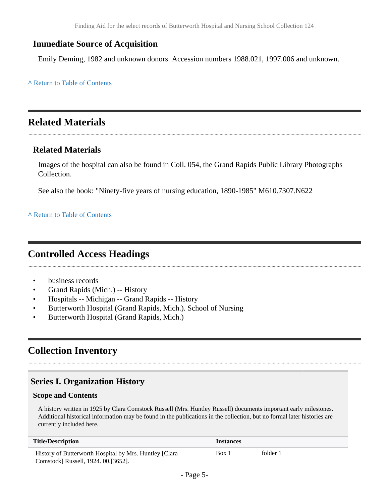# **Immediate Source of Acquisition**

Emily Deming, 1982 and unknown donors. Accession numbers 1988.021, 1997.006 and unknown.

**^** [Return to Table of Contents](#page-1-0)

# <span id="page-4-0"></span>**Related Materials**

# **Related Materials**

Images of the hospital can also be found in Coll. 054, the Grand Rapids Public Library Photographs Collection.

See also the book: "Ninety-five years of nursing education, 1890-1985" M610.7307.N622

**^** [Return to Table of Contents](#page-1-0)

# <span id="page-4-1"></span>**Controlled Access Headings**

- business records
- Grand Rapids (Mich.) -- History
- Hospitals -- Michigan -- Grand Rapids -- History
- Butterworth Hospital (Grand Rapids, Mich.). School of Nursing
- Butterworth Hospital (Grand Rapids, Mich.)

# <span id="page-4-2"></span>**Collection Inventory**

# <span id="page-4-3"></span>**Series I. Organization History**

#### **Scope and Contents**

A history written in 1925 by Clara Comstock Russell (Mrs. Huntley Russell) documents important early milestones. Additional historical information may be found in the publications in the collection, but no formal later histories are currently included here.

| <b>Title/Description</b>                                | <i>Instances</i> |          |
|---------------------------------------------------------|------------------|----------|
| History of Butterworth Hospital by Mrs. Huntley [Clara] | Box 1            | folder 1 |
| Comstock] Russell, 1924. 00.[3652].                     |                  |          |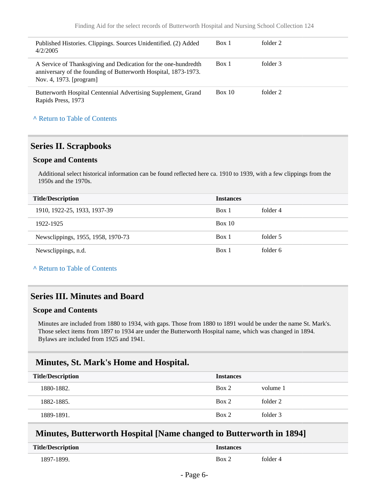| Published Histories. Clippings. Sources Unidentified. (2) Added<br>4/2/2005                                                                                  | Box 1  | folder 2 |
|--------------------------------------------------------------------------------------------------------------------------------------------------------------|--------|----------|
| A Service of Thanksgiving and Dedication for the one-hundredth<br>anniversary of the founding of Butterworth Hospital, 1873-1973.<br>Nov. 4, 1973. [program] | Box 1  | folder 3 |
| Butterworth Hospital Centennial Advertising Supplement, Grand<br>Rapids Press, 1973                                                                          | Box 10 | folder 2 |

### <span id="page-5-0"></span>**Series II. Scrapbooks**

#### **Scope and Contents**

Additional select historical information can be found reflected here ca. 1910 to 1939, with a few clippings from the 1950s and the 1970s.

| <b>Title/Description</b><br><b>Instances</b> |        |          |  |
|----------------------------------------------|--------|----------|--|
| 1910, 1922-25, 1933, 1937-39                 | Box 1  | folder 4 |  |
| 1922-1925                                    | Box 10 |          |  |
| Newsclippings, 1955, 1958, 1970-73           | Box 1  | folder 5 |  |
| Newsclippings, n.d.                          | Box 1  | folder 6 |  |

#### **^** [Return to Table of Contents](#page-1-0)

### <span id="page-5-1"></span>**Series III. Minutes and Board**

#### **Scope and Contents**

Minutes are included from 1880 to 1934, with gaps. Those from 1880 to 1891 would be under the name St. Mark's. Those select items from 1897 to 1934 are under the Butterworth Hospital name, which was changed in 1894. Bylaws are included from 1925 and 1941.

### <span id="page-5-2"></span>**Minutes, St. Mark's Home and Hospital.**

| <b>Title/Description</b> | <b>Instances</b> |          |
|--------------------------|------------------|----------|
| 1880-1882.               | Box 2            | volume 1 |
| 1882-1885.               | Box 2            | folder 2 |
| 1889-1891.               | Box 2            | folder 3 |

### <span id="page-5-3"></span>**Minutes, Butterworth Hospital [Name changed to Butterworth in 1894]**

| <b>Title/Description</b> | tances |          |
|--------------------------|--------|----------|
| 897-1899                 | Box'   | tolder 4 |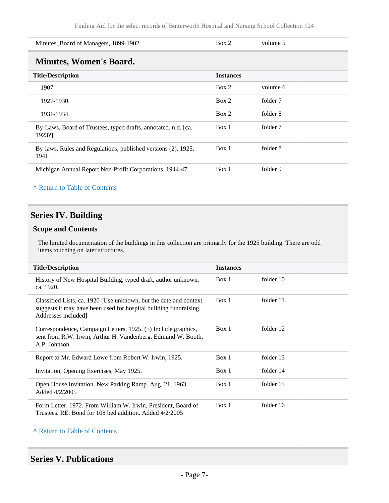<span id="page-6-0"></span>

| Minutes, Board of Managers, 1899-1902.                                   | Box 2            | volume 5 |  |  |
|--------------------------------------------------------------------------|------------------|----------|--|--|
| <b>Minutes, Women's Board.</b>                                           |                  |          |  |  |
| <b>Title/Description</b>                                                 | <b>Instances</b> |          |  |  |
| 1907                                                                     | Box 2            | volume 6 |  |  |
| 1927-1930.                                                               | Box 2            | folder 7 |  |  |
| 1931-1934.                                                               | Box 2            | folder 8 |  |  |
| By-Laws, Board of Trustees, typed drafts, annotated. n.d. [ca.<br>1923?] | Box 1            | folder 7 |  |  |
| By-laws, Rules and Regulations, published versions (2). 1925,<br>1941.   | Box 1            | folder 8 |  |  |
| Michigan Annual Report Non-Profit Corporations, 1944-47.                 | Box 1            | folder 9 |  |  |

# <span id="page-6-1"></span>**Series IV. Building**

### **Scope and Contents**

The limited documentation of the buildings in this collection are primarily for the 1925 building. There are odd items touching on later structures.

| <b>Title/Description</b>                                                                                                                                     | <b>Instances</b> |           |
|--------------------------------------------------------------------------------------------------------------------------------------------------------------|------------------|-----------|
| History of New Hospital Building, typed draft, author unknown,<br>ca. 1920.                                                                                  | Box 1            | folder 10 |
| Classified Lists, ca. 1920 [Use unknown, but the date and context<br>suggests it may have been used for hospital building fundraising.<br>Addresses included | Box 1            | folder 11 |
| Correspondence, Campaign Letters, 1925. (5) Include graphics,<br>sent from R.W. Irwin, Arthur H. Vandenberg, Edmund W. Booth,<br>A.P. Johnson                | Box 1            | folder 12 |
| Report to Mr. Edward Lowe from Robert W. Irwin, 1925.                                                                                                        | Box 1            | folder 13 |
| Invitation, Opening Exercises, May 1925.                                                                                                                     | Box 1            | folder 14 |
| Open House Invitation. New Parking Ramp. Aug. 21, 1963.<br>Added 4/2/2005                                                                                    | Box 1            | folder 15 |
| Form Letter. 1972. From William W. Irwin, President, Board of<br>Trustees. RE: Bond for 108 bed addition. Added 4/2/2005                                     | Box 1            | folder 16 |

#### **^** [Return to Table of Contents](#page-1-0)

## <span id="page-6-2"></span>**Series V. Publications**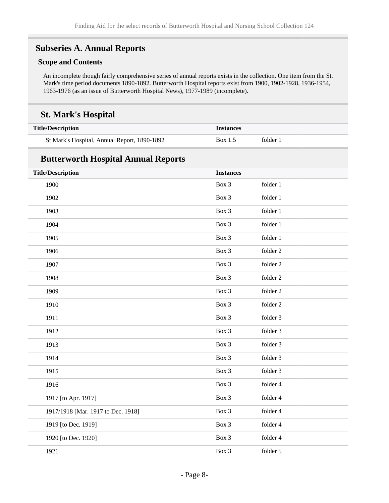# <span id="page-7-0"></span>**Subseries A. Annual Reports**

#### **Scope and Contents**

An incomplete though fairly comprehensive series of annual reports exists in the collection. One item from the St. Mark's time period documents 1890-1892. Butterworth Hospital reports exist from 1900, 1902-1928, 1936-1954, 1963-1976 (as an issue of Butterworth Hospital News), 1977-1989 (incomplete).

# **St. Mark's Hospital**

| <b>Title/Description</b>                     | <b>Instances</b> |          |
|----------------------------------------------|------------------|----------|
| St Mark's Hospital, Annual Report, 1890-1892 | Box 1.5          | folder 1 |

# **Butterworth Hospital Annual Reports**

| <b>Title/Description</b>           | <b>Instances</b> |          |
|------------------------------------|------------------|----------|
| 1900                               | Box 3            | folder 1 |
| 1902                               | Box 3            | folder 1 |
| 1903                               | Box 3            | folder 1 |
| 1904                               | Box 3            | folder 1 |
| 1905                               | Box 3            | folder 1 |
| 1906                               | Box 3            | folder 2 |
| 1907                               | Box 3            | folder 2 |
| 1908                               | Box 3            | folder 2 |
| 1909                               | Box 3            | folder 2 |
| 1910                               | Box 3            | folder 2 |
| 1911                               | Box 3            | folder 3 |
| 1912                               | Box 3            | folder 3 |
| 1913                               | Box 3            | folder 3 |
| 1914                               | Box 3            | folder 3 |
| 1915                               | Box 3            | folder 3 |
| 1916                               | Box 3            | folder 4 |
| 1917 [to Apr. 1917]                | Box 3            | folder 4 |
| 1917/1918 [Mar. 1917 to Dec. 1918] | Box 3            | folder 4 |
| 1919 [to Dec. 1919]                | Box 3            | folder 4 |
| 1920 [to Dec. 1920]                | Box 3            | folder 4 |
| 1921                               | Box 3            | folder 5 |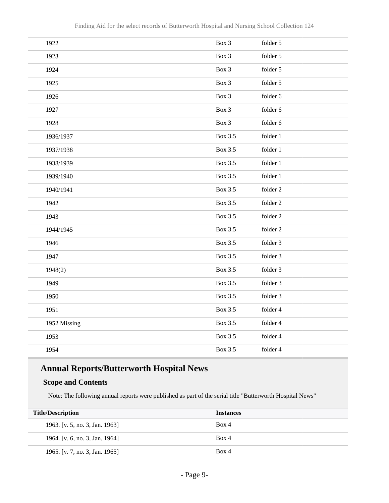| 1922         | Box 3          | folder 5 |
|--------------|----------------|----------|
| 1923         | Box 3          | folder 5 |
| 1924         | Box 3          | folder 5 |
| 1925         | Box 3          | folder 5 |
| 1926         | Box 3          | folder 6 |
| 1927         | Box 3          | folder 6 |
| 1928         | Box 3          | folder 6 |
| 1936/1937    | Box 3.5        | folder 1 |
| 1937/1938    | <b>Box 3.5</b> | folder 1 |
| 1938/1939    | <b>Box 3.5</b> | folder 1 |
| 1939/1940    | <b>Box 3.5</b> | folder 1 |
| 1940/1941    | Box 3.5        | folder 2 |
| 1942         | Box 3.5        | folder 2 |
| 1943         | Box 3.5        | folder 2 |
| 1944/1945    | <b>Box 3.5</b> | folder 2 |
| 1946         | Box 3.5        | folder 3 |
| 1947         | Box 3.5        | folder 3 |
| 1948(2)      | Box 3.5        | folder 3 |
| 1949         | <b>Box 3.5</b> | folder 3 |
| 1950         | <b>Box 3.5</b> | folder 3 |
| 1951         | <b>Box 3.5</b> | folder 4 |
| 1952 Missing | Box 3.5        | folder 4 |
| 1953         | Box 3.5        | folder 4 |
| 1954         | Box 3.5        | folder 4 |
|              |                |          |

# **Annual Reports/Butterworth Hospital News**

### **Scope and Contents**

Note: The following annual reports were published as part of the serial title "Butterworth Hospital News"

| <b>Title/Description</b>       | <b>Instances</b> |
|--------------------------------|------------------|
| 1963. [v. 5, no. 3, Jan. 1963] | Box 4            |
| 1964. [v. 6, no. 3, Jan. 1964] | Box 4            |
| 1965. [v. 7, no. 3, Jan. 1965] | Box 4            |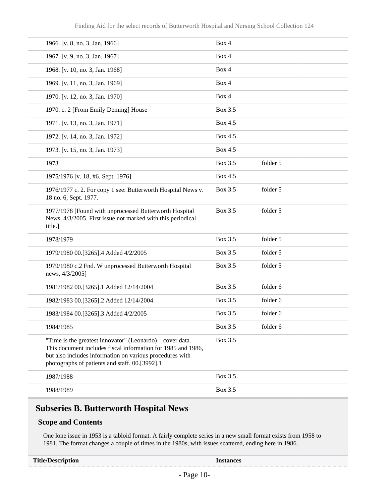| 1966.  v. 8, no. 3, Jan. 1966]                                                                                                                                                                                                        | Box 4   |          |
|---------------------------------------------------------------------------------------------------------------------------------------------------------------------------------------------------------------------------------------|---------|----------|
| 1967. [v. 9, no. 3, Jan. 1967]                                                                                                                                                                                                        | Box 4   |          |
| 1968. [v. 10, no. 3, Jan. 1968]                                                                                                                                                                                                       | Box 4   |          |
| 1969. [v. 11, no. 3, Jan. 1969]                                                                                                                                                                                                       | Box 4   |          |
| 1970. [v. 12, no. 3, Jan. 1970]                                                                                                                                                                                                       | Box 4   |          |
| 1970. c. 2 [From Emily Deming] House                                                                                                                                                                                                  | Box 3.5 |          |
| 1971. [v. 13, no. 3, Jan. 1971]                                                                                                                                                                                                       | Box 4.5 |          |
| 1972. [v. 14, no. 3, Jan. 1972]                                                                                                                                                                                                       | Box 4.5 |          |
| 1973. [v. 15, no. 3, Jan. 1973]                                                                                                                                                                                                       | Box 4.5 |          |
| 1973                                                                                                                                                                                                                                  | Box 3.5 | folder 5 |
| 1975/1976 [v. 18, #6. Sept. 1976]                                                                                                                                                                                                     | Box 4.5 |          |
| 1976/1977 c. 2. For copy 1 see: Butterworth Hospital News v.<br>18 no. 6, Sept. 1977.                                                                                                                                                 | Box 3.5 | folder 5 |
| 1977/1978 [Found with unprocessed Butterworth Hospital<br>News, 4/3/2005. First issue not marked with this periodical<br>title.]                                                                                                      | Box 3.5 | folder 5 |
| 1978/1979                                                                                                                                                                                                                             | Box 3.5 | folder 5 |
| 1979/1980 00.[3265].4 Added 4/2/2005                                                                                                                                                                                                  | Box 3.5 | folder 5 |
| 1979/1980 c.2 Fnd. W unprocessed Butterworth Hospital<br>news, 4/3/2005]                                                                                                                                                              | Box 3.5 | folder 5 |
| 1981/1982 00.[3265].1 Added 12/14/2004                                                                                                                                                                                                | Box 3.5 | folder 6 |
| 1982/1983 00.[3265].2 Added 12/14/2004                                                                                                                                                                                                | Box 3.5 | folder 6 |
| 1983/1984 00.[3265].3 Added 4/2/2005                                                                                                                                                                                                  | Box 3.5 | folder 6 |
| 1984/1985                                                                                                                                                                                                                             | Box 3.5 | folder 6 |
| "Time is the greatest innovator" (Leonardo)—cover data.<br>This document includes fiscal information for 1985 and 1986,<br>but also includes information on various procedures with<br>photographs of patients and staff. 00.[3992].1 | Box 3.5 |          |
| 1987/1988                                                                                                                                                                                                                             | Box 3.5 |          |
| 1988/1989                                                                                                                                                                                                                             | Box 3.5 |          |

# <span id="page-9-0"></span>**Subseries B. Butterworth Hospital News**

#### **Scope and Contents**

One lone issue in 1953 is a tabloid format. A fairly complete series in a new small format exists from 1958 to 1981. The format changes a couple of times in the 1980s, with issues scattered, ending here in 1986.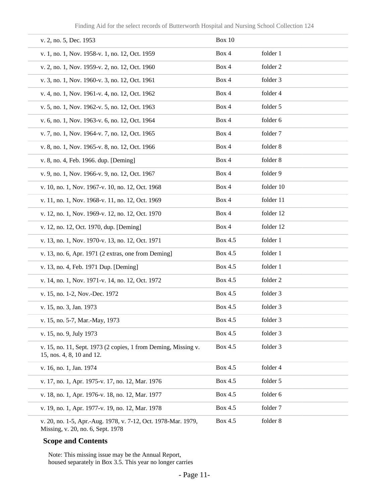| v. 2, no. 5, Dec. 1953                                                                             | Box 10  |           |
|----------------------------------------------------------------------------------------------------|---------|-----------|
| v. 1, no. 1, Nov. 1958-v. 1, no. 12, Oct. 1959                                                     | Box 4   | folder 1  |
| v. 2, no. 1, Nov. 1959-v. 2, no. 12, Oct. 1960                                                     | Box 4   | folder 2  |
| v. 3, no. 1, Nov. 1960-v. 3, no. 12, Oct. 1961                                                     | Box 4   | folder 3  |
| v. 4, no. 1, Nov. 1961-v. 4, no. 12, Oct. 1962                                                     | Box 4   | folder 4  |
| v. 5, no. 1, Nov. 1962-v. 5, no. 12, Oct. 1963                                                     | Box 4   | folder 5  |
| v. 6, no. 1, Nov. 1963-v. 6, no. 12, Oct. 1964                                                     | Box 4   | folder 6  |
| v. 7, no. 1, Nov. 1964-v. 7, no. 12, Oct. 1965                                                     | Box 4   | folder 7  |
| v. 8, no. 1, Nov. 1965-v. 8, no. 12, Oct. 1966                                                     | Box 4   | folder 8  |
| v. 8, no. 4, Feb. 1966. dup. [Deming]                                                              | Box 4   | folder 8  |
| v. 9, no. 1, Nov. 1966-v. 9, no. 12, Oct. 1967                                                     | Box 4   | folder 9  |
| v. 10, no. 1, Nov. 1967-v. 10, no. 12, Oct. 1968                                                   | Box 4   | folder 10 |
| v. 11, no. 1, Nov. 1968-v. 11, no. 12, Oct. 1969                                                   | Box 4   | folder 11 |
| v. 12, no. 1, Nov. 1969-v. 12, no. 12, Oct. 1970                                                   | Box 4   | folder 12 |
| v. 12, no. 12, Oct. 1970, dup. [Deming]                                                            | Box 4   | folder 12 |
| v. 13, no. 1, Nov. 1970-v. 13, no. 12, Oct. 1971                                                   | Box 4.5 | folder 1  |
| v. 13, no. 6, Apr. 1971 (2 extras, one from Deming]                                                | Box 4.5 | folder 1  |
| v. 13, no. 4, Feb. 1971 Dup. [Deming]                                                              | Box 4.5 | folder 1  |
| v. 14, no. 1, Nov. 1971-v. 14, no. 12, Oct. 1972                                                   | Box 4.5 | folder 2  |
| v. 15, no. 1-2, Nov.-Dec. 1972                                                                     | Box 4.5 | folder 3  |
| v. 15, no. 3, Jan. 1973                                                                            | Box 4.5 | folder 3  |
| v. 15, no. 5-7, Mar.-May, 1973                                                                     | Box 4.5 | folder 3  |
| v. 15, no. 9, July 1973                                                                            | Box 4.5 | folder 3  |
| v. 15, no. 11, Sept. 1973 (2 copies, 1 from Deming, Missing v.<br>15, nos. 4, 8, 10 and 12.        | Box 4.5 | folder 3  |
| v. 16, no. 1, Jan. 1974                                                                            | Box 4.5 | folder 4  |
| v. 17, no. 1, Apr. 1975-v. 17, no. 12, Mar. 1976                                                   | Box 4.5 | folder 5  |
| v. 18, no. 1, Apr. 1976-v. 18, no. 12, Mar. 1977                                                   | Box 4.5 | folder 6  |
| v. 19, no. 1, Apr. 1977-v. 19, no. 12, Mar. 1978                                                   | Box 4.5 | folder 7  |
| v. 20, no. 1-5, Apr.-Aug. 1978, v. 7-12, Oct. 1978-Mar. 1979,<br>Missing, v. 20, no. 6, Sept. 1978 | Box 4.5 | folder 8  |

#### **Scope and Contents**

Note: This missing issue may be the Annual Report, housed separately in Box 3.5. This year no longer carries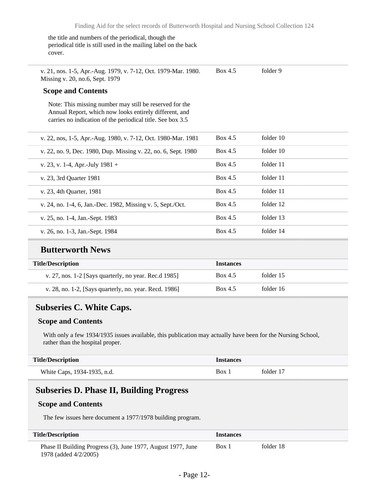the title and numbers of the periodical, though the periodical title is still used in the mailing label on the back cover.

v. 21, nos. 1-5, Apr.-Aug. 1979, v. 7-12, Oct. 1979-Mar. 1980. Missing v. 20, no.6, Sept. 1979 Box 4.5 folder 9

#### **Scope and Contents**

Note: This missing number may still be reserved for the Annual Report, which now looks entirely different, and carries no indication of the periodical title. See box 3.5

| v. 22, nos, 1-5, Apr.-Aug. 1980, v. 7-12, Oct. 1980-Mar. 1981  | Box 4.5 | folder 10 |
|----------------------------------------------------------------|---------|-----------|
| v. 22, no. 9, Dec. 1980, Dup. Missing v. 22, no. 6, Sept. 1980 | Box 4.5 | folder 10 |
| v. 23, v. 1-4, Apr.-July $1981 +$                              | Box 4.5 | folder 11 |
| v. 23, 3rd Quarter 1981                                        | Box 4.5 | folder 11 |
| v. 23, 4th Quarter, 1981                                       | Box 4.5 | folder 11 |
| v. 24, no. 1-4, 6, Jan.-Dec. 1982, Missing v. 5, Sept./Oct.    | Box 4.5 | folder 12 |
| v. 25, no. 1-4, Jan.-Sept. 1983                                | Box 4.5 | folder 13 |
| v. 26, no. 1-3, Jan.-Sept. 1984                                | Box 4.5 | folder 14 |

### **Butterworth News**

| <b>Title/Description</b>                                | <i><u><b>Instances</b></u></i> |           |
|---------------------------------------------------------|--------------------------------|-----------|
| v. 27, nos. $1-2$ [Says quarterly, no year. Rec.d 1985] | Box 4.5                        | folder 15 |
| v. 28, no. 1-2, [Says quarterly, no. year. Recd. 1986]  | Box 4.5                        | folder 16 |

### <span id="page-11-0"></span>**Subseries C. White Caps.**

#### **Scope and Contents**

With only a few 1934/1935 issues available, this publication may actually have been for the Nursing School, rather than the hospital proper.

| <b>Title/Description</b>    | <i>Instances</i> |           |
|-----------------------------|------------------|-----------|
| White Caps, 1934-1935, n.d. | Box 1            | folder 17 |

### <span id="page-11-1"></span>**Subseries D. Phase II, Building Progress**

#### **Scope and Contents**

The few issues here document a 1977/1978 building program.

| <b>Title/Description</b>                                                              | <i><u><b>Instances</b></u></i> |           |
|---------------------------------------------------------------------------------------|--------------------------------|-----------|
| Phase II Building Progress (3), June 1977, August 1977, June<br>1978 (added 4/2/2005) | Box 1                          | folder 18 |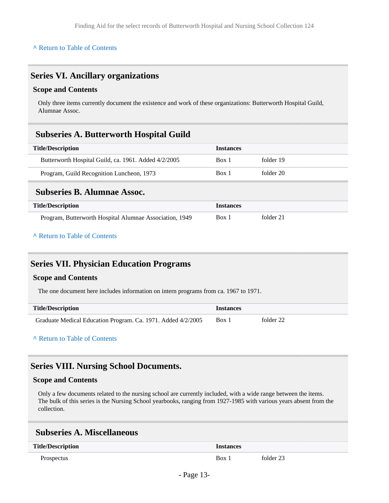### <span id="page-12-0"></span>**Series VI. Ancillary organizations**

#### **Scope and Contents**

Only three items currently document the existence and work of these organizations: Butterworth Hospital Guild, Alumnae Assoc.

### <span id="page-12-1"></span>**Subseries A. Butterworth Hospital Guild**

| <b>Title/Description</b>                             | <b>Instances</b> |           |
|------------------------------------------------------|------------------|-----------|
| Butterworth Hospital Guild, ca. 1961. Added 4/2/2005 | Box 1            | folder 19 |
| Program, Guild Recognition Luncheon, 1973            | Box 1            | folder 20 |
|                                                      |                  |           |
|                                                      |                  |           |

### <span id="page-12-2"></span>**Subseries B. Alumnae Assoc.**

| <b>Title/Description</b>                                | <i>Instances</i> |           |
|---------------------------------------------------------|------------------|-----------|
| Program, Butterworth Hospital Alumnae Association, 1949 | Box 1            | folder 21 |

#### **^** [Return to Table of Contents](#page-1-0)

# <span id="page-12-3"></span>**Series VII. Physician Education Programs**

#### **Scope and Contents**

The one document here includes information on intern programs from ca. 1967 to 1971.

| <b>Title/Description</b>                                     | <b>Instances</b> |           |
|--------------------------------------------------------------|------------------|-----------|
| Graduate Medical Education Program. Ca. 1971. Added 4/2/2005 | Box 1            | folder 22 |

**^** [Return to Table of Contents](#page-1-0)

### <span id="page-12-4"></span>**Series VIII. Nursing School Documents.**

#### **Scope and Contents**

Only a few documents related to the nursing school are currently included, with a wide range between the items. The bulk of this series is the Nursing School yearbooks, ranging from 1927-1985 with various years absent from the collection.

### <span id="page-12-5"></span>**Subseries A. Miscellaneous**

| <b>Title/Description</b> | <i><u><b>Instances</b></u></i> |           |
|--------------------------|--------------------------------|-----------|
| Prospectus               | Box 1                          | folder 23 |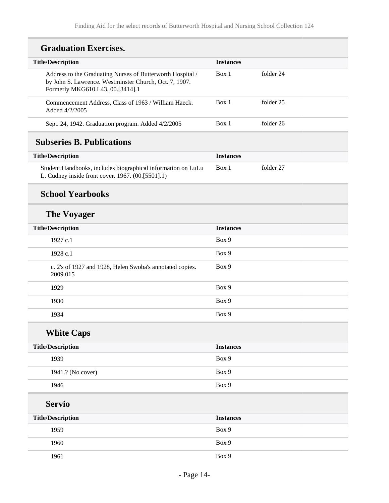# **Graduation Exercises.**

| <b>Title/Description</b>                                                                                                                                 | <b>Instances</b> |           |
|----------------------------------------------------------------------------------------------------------------------------------------------------------|------------------|-----------|
| Address to the Graduating Nurses of Butterworth Hospital /<br>by John S. Lawrence. Westminster Church, Oct. 7, 1907.<br>Formerly MKG610.L43, 00.[3414].1 | Box 1            | folder 24 |
| Commencement Address, Class of 1963 / William Haeck.<br>Added 4/2/2005                                                                                   | Box 1            | folder 25 |
| Sept. 24, 1942. Graduation program. Added 4/2/2005                                                                                                       | Box 1            | folder 26 |

# <span id="page-13-0"></span>**Subseries B. Publications**

| <b>Title/Description</b>                                                                                          | <i>Instances</i> |           |
|-------------------------------------------------------------------------------------------------------------------|------------------|-----------|
| Student Handbooks, includes biographical information on LuLu<br>L. Cudney inside front cover. 1967. (00.[5501].1) | Box 1            | folder 27 |

# **School Yearbooks**

# **The Voyager**

| <b>Title/Description</b>                                             | <b>Instances</b> |
|----------------------------------------------------------------------|------------------|
| 1927 c.1                                                             | Box 9            |
| 1928 c.1                                                             | Box 9            |
| c. 2's of 1927 and 1928, Helen Swoba's annotated copies.<br>2009.015 | Box 9            |
| 1929                                                                 | Box 9            |
| 1930                                                                 | Box 9            |
| 1934                                                                 | Box 9            |
|                                                                      |                  |

**White Caps**

| <b>Title/Description</b> | <b>Instances</b> |
|--------------------------|------------------|
| 1939                     | Box 9            |
| 1941.? (No cover)        | Box 9            |
| 1946                     | Box 9            |

**Servio**

| <b>Title/Description</b> | <b>Instances</b> |
|--------------------------|------------------|
| 1959                     | Box 9            |
| 1960                     | Box 9            |
| 1961                     | Box 9            |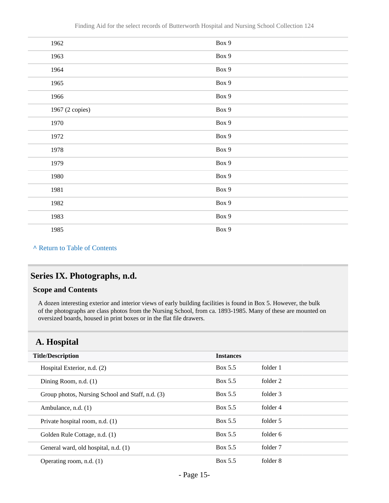| 1962            | Box 9 |
|-----------------|-------|
| 1963            | Box 9 |
| 1964            | Box 9 |
| 1965            | Box 9 |
| 1966            | Box 9 |
| 1967 (2 copies) | Box 9 |
| 1970            | Box 9 |
| 1972            | Box 9 |
| 1978            | Box 9 |
| 1979            | Box 9 |
| 1980            | Box 9 |
| 1981            | Box 9 |
| 1982            | Box 9 |
| 1983            | Box 9 |
| 1985            | Box 9 |

# <span id="page-14-0"></span>**Series IX. Photographs, n.d.**

#### **Scope and Contents**

A dozen interesting exterior and interior views of early building facilities is found in Box 5. However, the bulk of the photographs are class photos from the Nursing School, from ca. 1893-1985. Many of these are mounted on oversized boards, housed in print boxes or in the flat file drawers.

# <span id="page-14-1"></span>**A. Hospital**

| <b>Title/Description</b>                         | <b>Instances</b> |          |  |
|--------------------------------------------------|------------------|----------|--|
| Hospital Exterior, n.d. (2)                      | Box 5.5          | folder 1 |  |
| Dining Room, n.d. (1)                            | Box 5.5          | folder 2 |  |
| Group photos, Nursing School and Staff, n.d. (3) | Box 5.5          | folder 3 |  |
| Ambulance, n.d. (1)                              | Box 5.5          | folder 4 |  |
| Private hospital room, n.d. (1)                  | Box 5.5          | folder 5 |  |
| Golden Rule Cottage, n.d. (1)                    | Box 5.5          | folder 6 |  |
| General ward, old hospital, n.d. (1)             | Box 5.5          | folder 7 |  |
| Operating room, n.d. $(1)$                       | Box 5.5          | folder 8 |  |